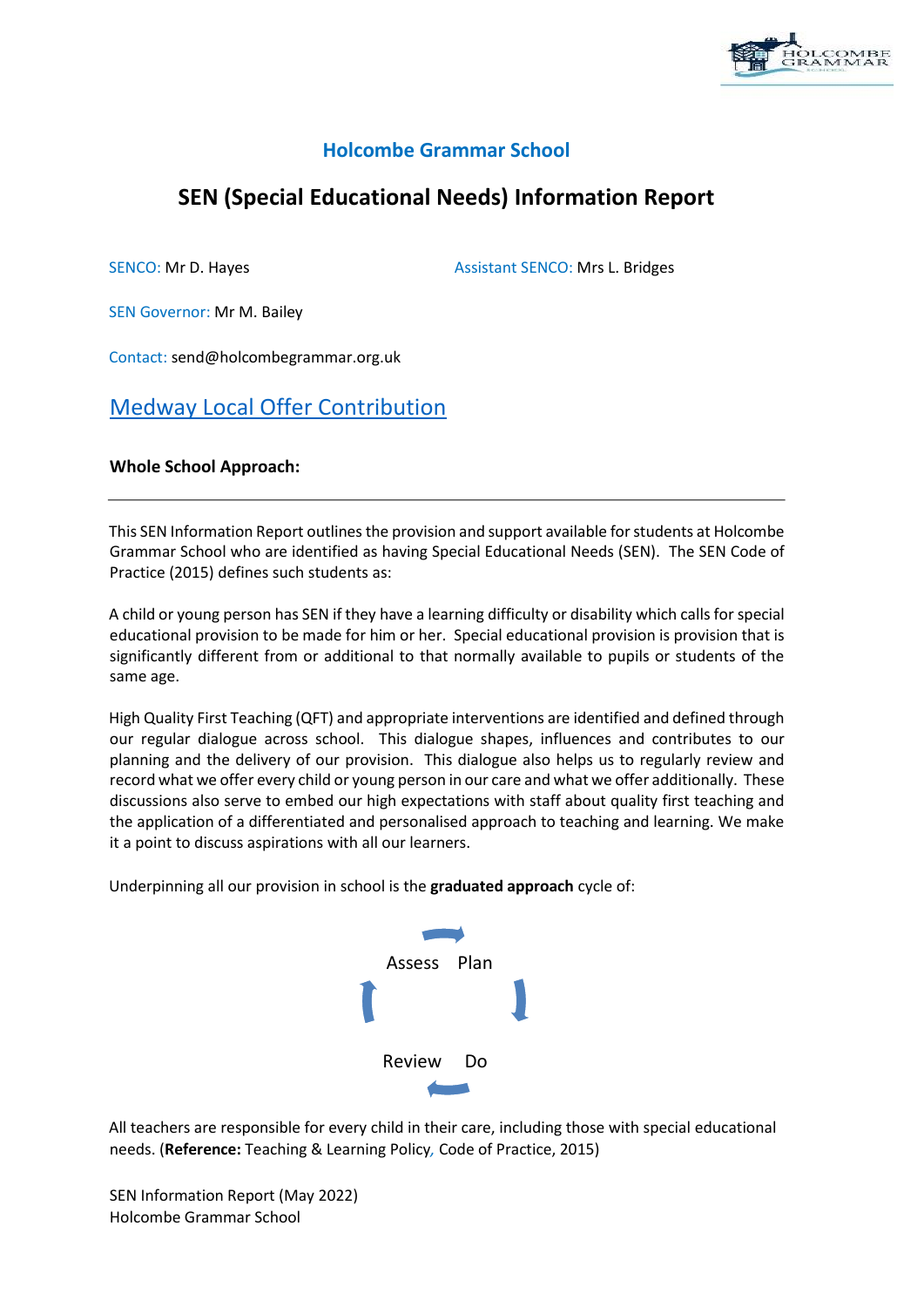

# **Holcombe Grammar School**

# **SEN (Special Educational Needs) Information Report**

SENCO: Mr D. Hayes Assistant SENCO: Mrs L. Bridges

SEN Governor: Mr M. Bailey

Contact: send@holcombegrammar.org.uk

# [Medway Local Offer Contribution](https://www.medway.gov.uk/info/200307/local_offer)

### **Whole School Approach:**

This SEN Information Report outlines the provision and support available for students at Holcombe Grammar School who are identified as having Special Educational Needs (SEN). The SEN Code of Practice (2015) defines such students as:

A child or young person has SEN if they have a learning difficulty or disability which calls for special educational provision to be made for him or her. Special educational provision is provision that is significantly different from or additional to that normally available to pupils or students of the same age.

High Quality First Teaching (QFT) and appropriate interventions are identified and defined through our regular dialogue across school. This dialogue shapes, influences and contributes to our planning and the delivery of our provision. This dialogue also helps us to regularly review and record what we offer every child or young person in our care and what we offer additionally. These discussions also serve to embed our high expectations with staff about quality first teaching and the application of a differentiated and personalised approach to teaching and learning. We make it a point to discuss aspirations with all our learners.

Underpinning all our provision in school is the **graduated approach** cycle of:



All teachers are responsible for every child in their care, including those with special educational needs. (**Reference:** Teaching & Learning Policy*,* Code of Practice, 2015)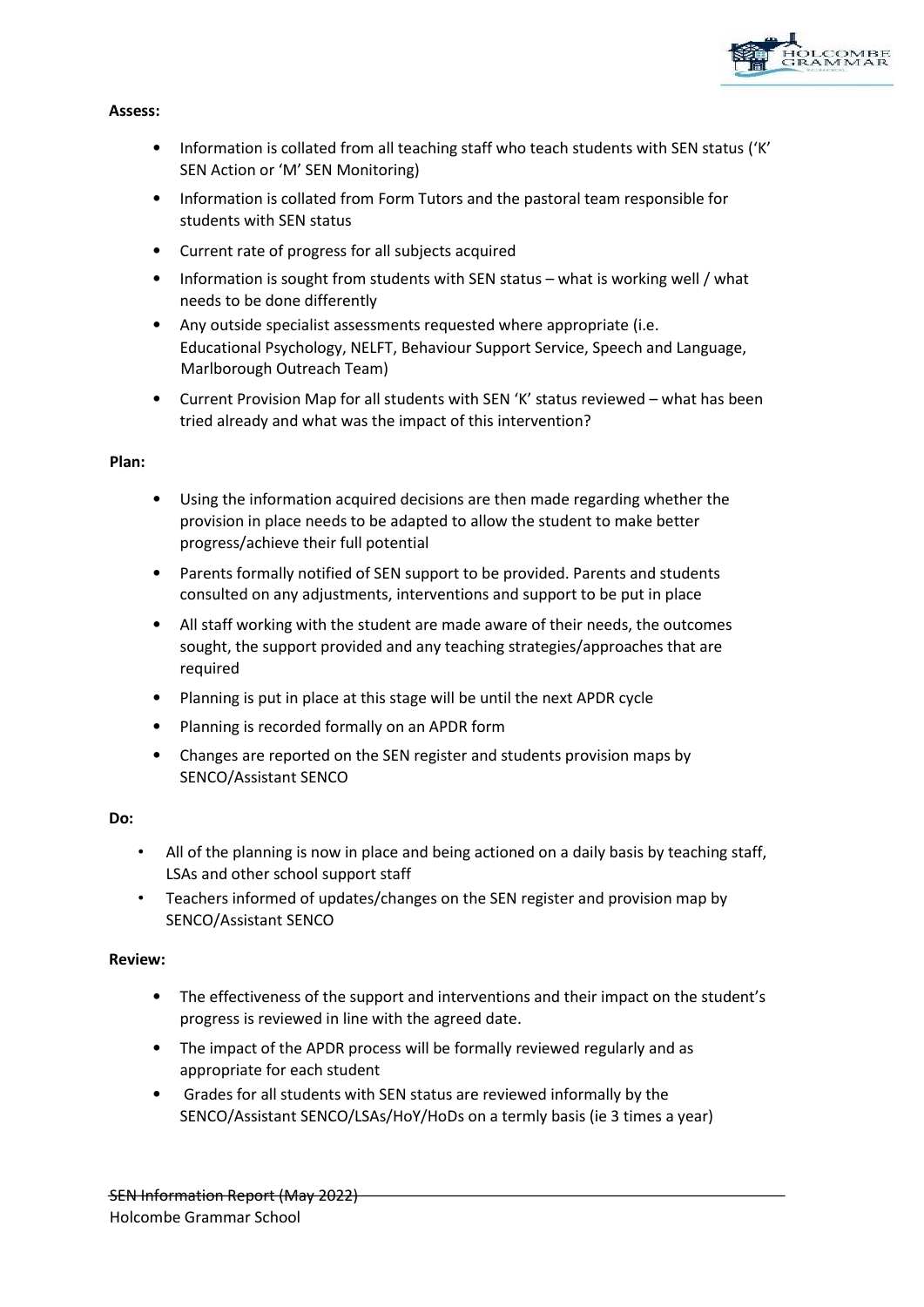

### **Assess:**

- Information is collated from all teaching staff who teach students with SEN status ('K' SEN Action or 'M' SEN Monitoring)
- Information is collated from Form Tutors and the pastoral team responsible for students with SEN status
- Current rate of progress for all subjects acquired
- Information is sought from students with SEN status what is working well / what needs to be done differently
- Any outside specialist assessments requested where appropriate (i.e. Educational Psychology, NELFT, Behaviour Support Service, Speech and Language, Marlborough Outreach Team)
- Current Provision Map for all students with SEN 'K' status reviewed what has been tried already and what was the impact of this intervention?

#### **Plan:**

- Using the information acquired decisions are then made regarding whether the provision in place needs to be adapted to allow the student to make better progress/achieve their full potential
- Parents formally notified of SEN support to be provided. Parents and students consulted on any adjustments, interventions and support to be put in place
- All staff working with the student are made aware of their needs, the outcomes sought, the support provided and any teaching strategies/approaches that are required
- Planning is put in place at this stage will be until the next APDR cycle
- Planning is recorded formally on an APDR form
- Changes are reported on the SEN register and students provision maps by SENCO/Assistant SENCO

#### **Do:**

- All of the planning is now in place and being actioned on a daily basis by teaching staff, LSAs and other school support staff
- Teachers informed of updates/changes on the SEN register and provision map by SENCO/Assistant SENCO

### **Review:**

- The effectiveness of the support and interventions and their impact on the student's progress is reviewed in line with the agreed date.
- The impact of the APDR process will be formally reviewed regularly and as appropriate for each student
- Grades for all students with SEN status are reviewed informally by the SENCO/Assistant SENCO/LSAs/HoY/HoDs on a termly basis (ie 3 times a year)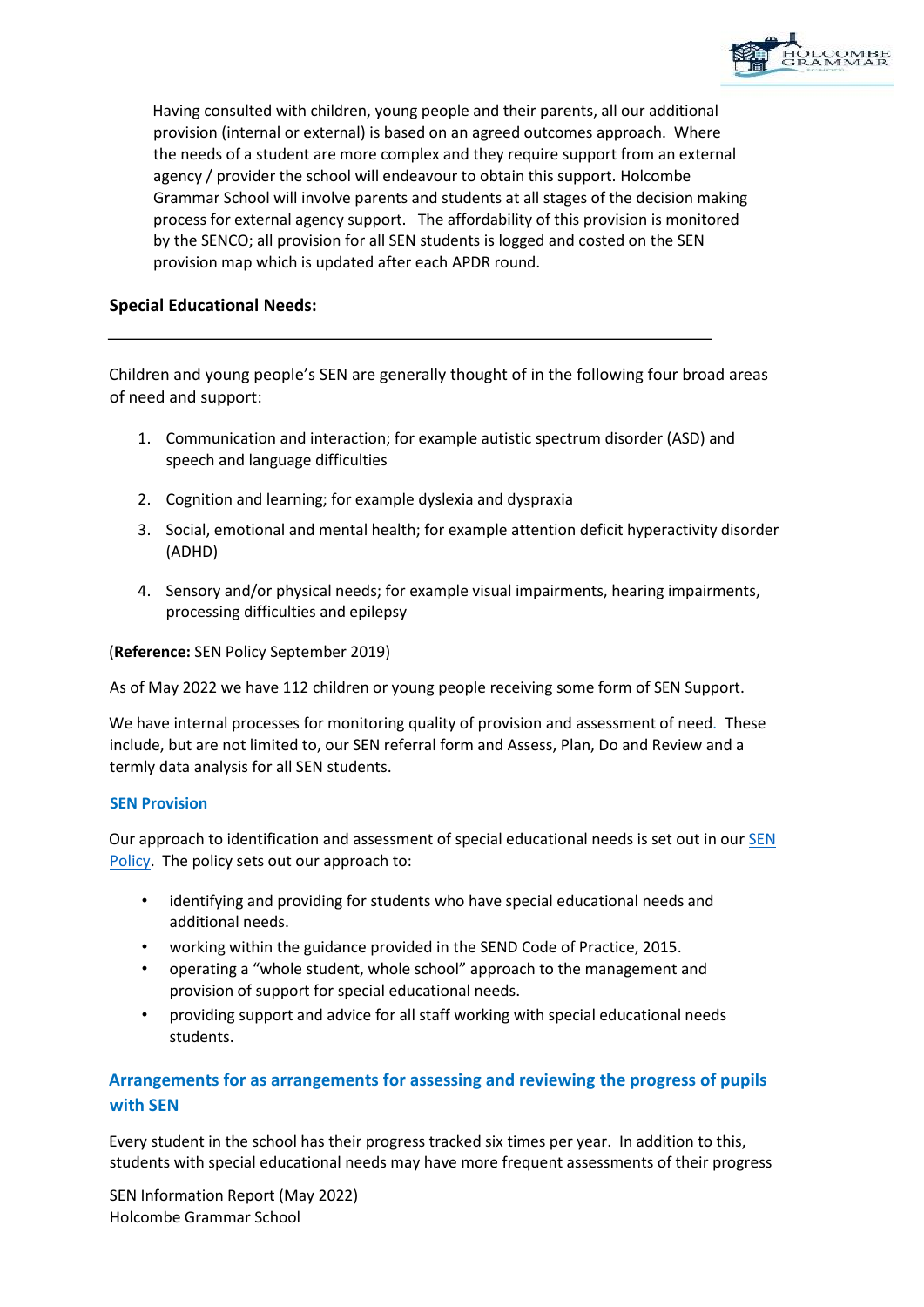

Having consulted with children, young people and their parents, all our additional provision (internal or external) is based on an agreed outcomes approach. Where the needs of a student are more complex and they require support from an external agency / provider the school will endeavour to obtain this support. Holcombe Grammar School will involve parents and students at all stages of the decision making process for external agency support. The affordability of this provision is monitored by the SENCO; all provision for all SEN students is logged and costed on the SEN provision map which is updated after each APDR round.

## **Special Educational Needs:**

Children and young people's SEN are generally thought of in the following four broad areas of need and support:

- 1. Communication and interaction; for example autistic spectrum disorder (ASD) and speech and language difficulties
- 2. Cognition and learning; for example dyslexia and dyspraxia
- 3. Social, emotional and mental health; for example attention deficit hyperactivity disorder (ADHD)
- 4. Sensory and/or physical needs; for example visual impairments, hearing impairments, processing difficulties and epilepsy

(**Reference:** SEN Policy September 2019)

As of May 2022 we have 112 children or young people receiving some form of SEN Support.

We have internal processes for monitoring quality of provision and assessment of need*.* These include, but are not limited to, our SEN referral form and Assess, Plan, Do and Review and a termly data analysis for all SEN students.

### **SEN Provision**

Our approach to identification and assessment of special educational needs is set out in our [SEN](https://www.holcombegrammar.org.uk/policies/)  [Policy.](https://www.holcombegrammar.org.uk/policies/) The policy sets out our approach to:

- identifying and providing for students who have special educational needs and additional needs.
- working within the guidance provided in the SEND Code of Practice, 2015.
- operating a "whole student, whole school" approach to the management and provision of support for special educational needs.
- providing support and advice for all staff working with special educational needs students.

# **Arrangements for as arrangements for assessing and reviewing the progress of pupils with SEN**

Every student in the school has their progress tracked six times per year. In addition to this, students with special educational needs may have more frequent assessments of their progress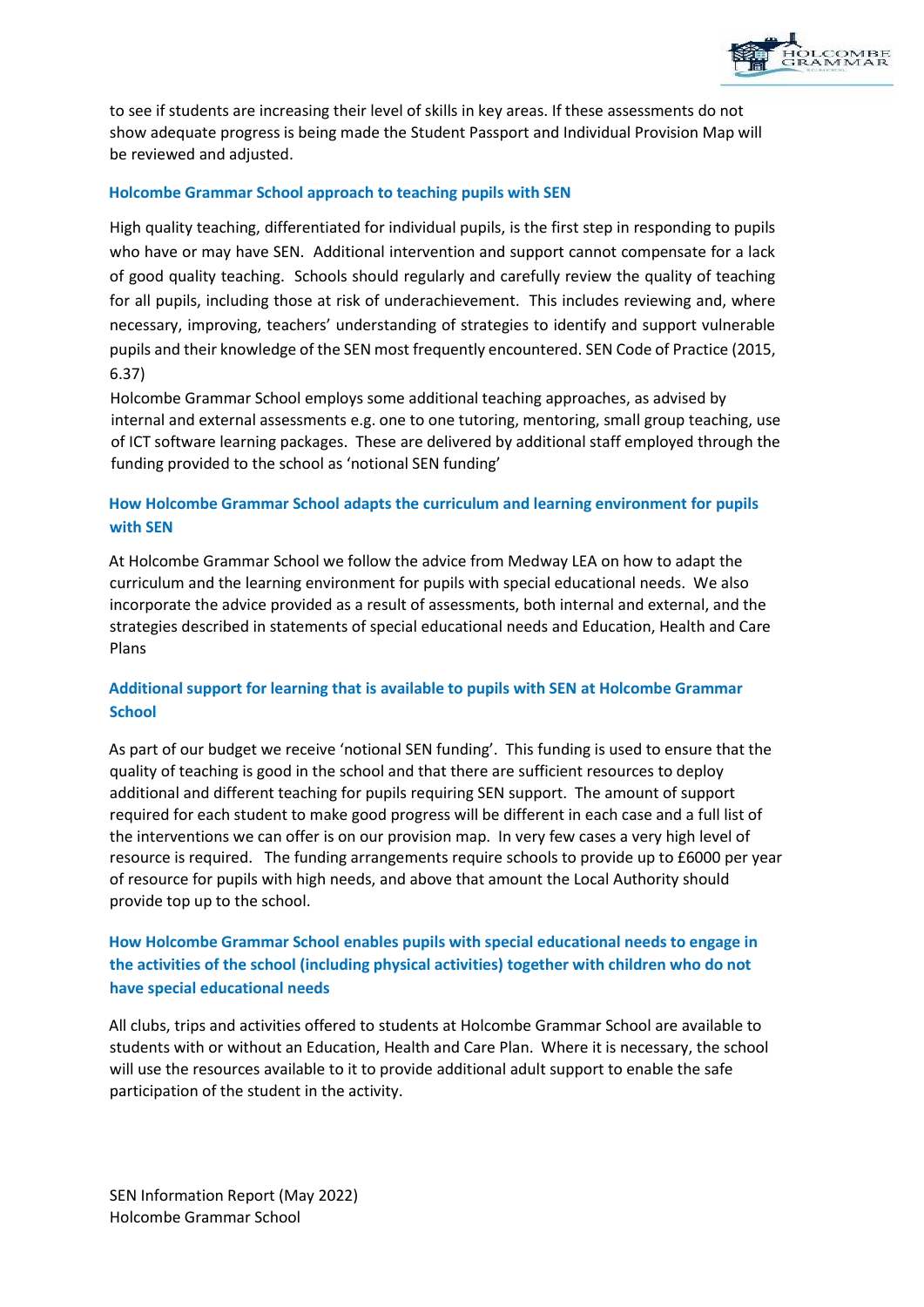

to see if students are increasing their level of skills in key areas. If these assessments do not show adequate progress is being made the Student Passport and Individual Provision Map will be reviewed and adjusted.

### **Holcombe Grammar School approach to teaching pupils with SEN**

High quality teaching, differentiated for individual pupils, is the first step in responding to pupils who have or may have SEN. Additional intervention and support cannot compensate for a lack of good quality teaching. Schools should regularly and carefully review the quality of teaching for all pupils, including those at risk of underachievement. This includes reviewing and, where necessary, improving, teachers' understanding of strategies to identify and support vulnerable pupils and their knowledge of the SEN most frequently encountered. SEN Code of Practice (2015, 6.37)

Holcombe Grammar School employs some additional teaching approaches, as advised by internal and external assessments e.g. one to one tutoring, mentoring, small group teaching, use of ICT software learning packages. These are delivered by additional staff employed through the funding provided to the school as 'notional SEN funding'

# **How Holcombe Grammar School adapts the curriculum and learning environment for pupils with SEN**

At Holcombe Grammar School we follow the advice from Medway LEA on how to adapt the curriculum and the learning environment for pupils with special educational needs. We also incorporate the advice provided as a result of assessments, both internal and external, and the strategies described in statements of special educational needs and Education, Health and Care Plans

### **Additional support for learning that is available to pupils with SEN at Holcombe Grammar School**

As part of our budget we receive 'notional SEN funding'. This funding is used to ensure that the quality of teaching is good in the school and that there are sufficient resources to deploy additional and different teaching for pupils requiring SEN support. The amount of support required for each student to make good progress will be different in each case and a full list of the interventions we can offer is on our provision map. In very few cases a very high level of resource is required. The funding arrangements require schools to provide up to £6000 per year of resource for pupils with high needs, and above that amount the Local Authority should provide top up to the school.

# **How Holcombe Grammar School enables pupils with special educational needs to engage in the activities of the school (including physical activities) together with children who do not have special educational needs**

All clubs, trips and activities offered to students at Holcombe Grammar School are available to students with or without an Education, Health and Care Plan. Where it is necessary, the school will use the resources available to it to provide additional adult support to enable the safe participation of the student in the activity.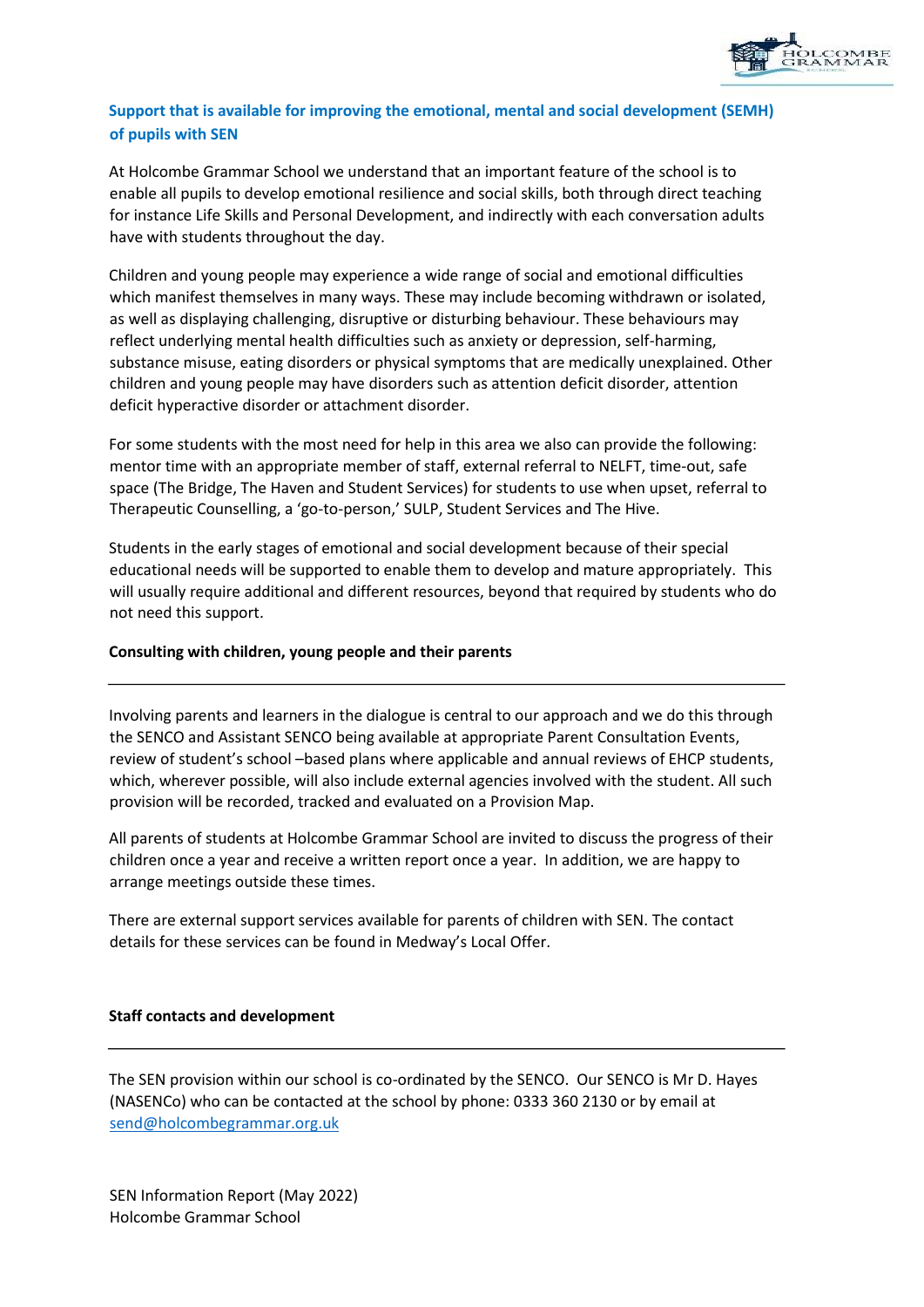

## **Support that is available for improving the emotional, mental and social development (SEMH) of pupils with SEN**

At Holcombe Grammar School we understand that an important feature of the school is to enable all pupils to develop emotional resilience and social skills, both through direct teaching for instance Life Skills and Personal Development, and indirectly with each conversation adults have with students throughout the day.

Children and young people may experience a wide range of social and emotional difficulties which manifest themselves in many ways. These may include becoming withdrawn or isolated, as well as displaying challenging, disruptive or disturbing behaviour. These behaviours may reflect underlying mental health difficulties such as anxiety or depression, self-harming, substance misuse, eating disorders or physical symptoms that are medically unexplained. Other children and young people may have disorders such as attention deficit disorder, attention deficit hyperactive disorder or attachment disorder.

For some students with the most need for help in this area we also can provide the following: mentor time with an appropriate member of staff, external referral to NELFT, time-out, safe space (The Bridge, The Haven and Student Services) for students to use when upset, referral to Therapeutic Counselling, a 'go-to-person,' SULP, Student Services and The Hive.

Students in the early stages of emotional and social development because of their special educational needs will be supported to enable them to develop and mature appropriately. This will usually require additional and different resources, beyond that required by students who do not need this support.

### **Consulting with children, young people and their parents**

Involving parents and learners in the dialogue is central to our approach and we do this through the SENCO and Assistant SENCO being available at appropriate Parent Consultation Events, review of student's school –based plans where applicable and annual reviews of EHCP students, which, wherever possible, will also include external agencies involved with the student. All such provision will be recorded, tracked and evaluated on a Provision Map.

All parents of students at Holcombe Grammar School are invited to discuss the progress of their children once a year and receive a written report once a year. In addition, we are happy to arrange meetings outside these times.

There are external support services available for parents of children with SEN. The contact details for these services can be found in Medway's Local Offer.

### **Staff contacts and development**

The SEN provision within our school is co-ordinated by the SENCO. Our SENCO is Mr D. Hayes (NASENCo) who can be contacted at the school by phone: 0333 360 2130 or by email at [send@holcombegrammar.org.uk](mailto:send@holcombegrammar.org.uk)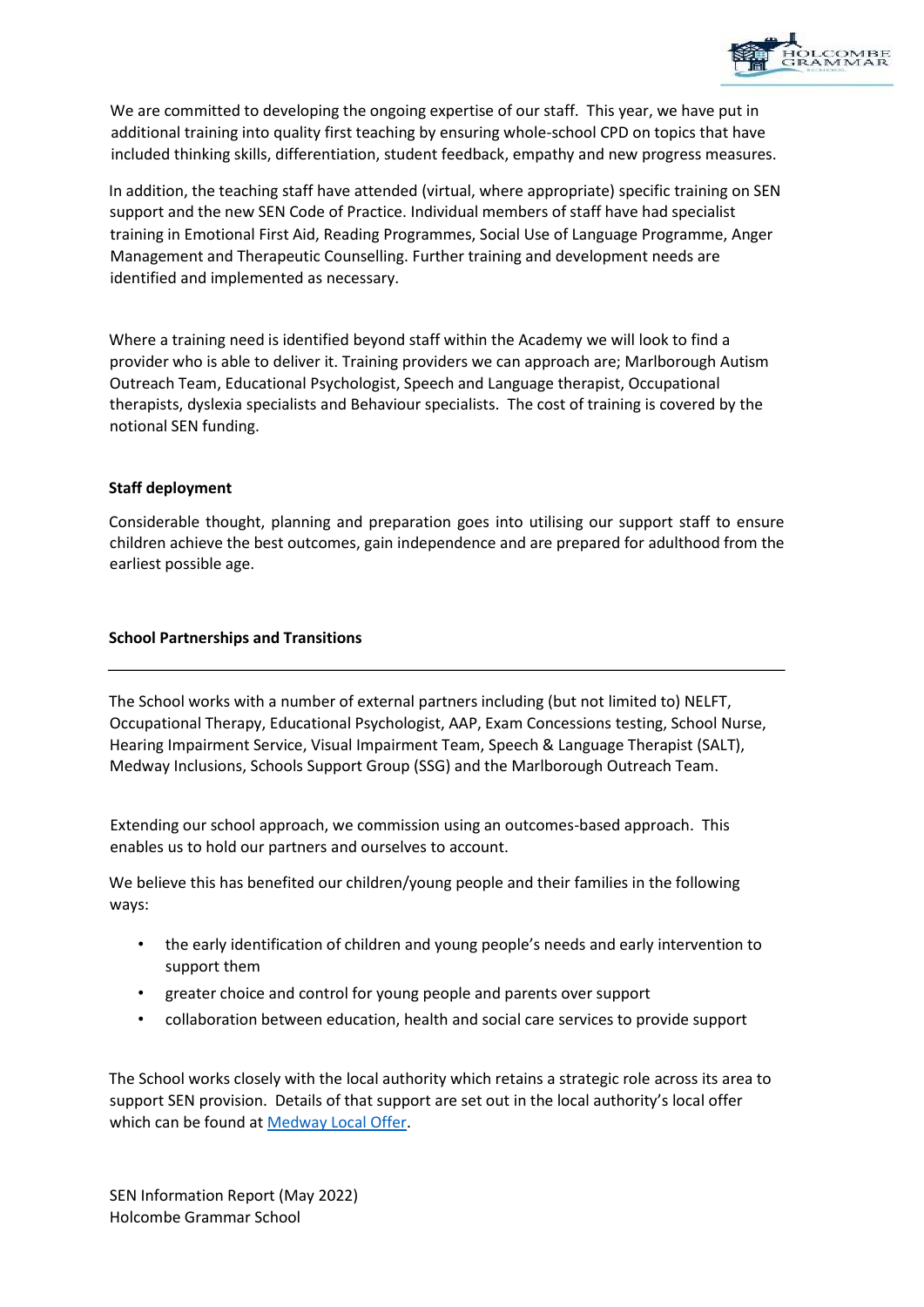

We are committed to developing the ongoing expertise of our staff. This year, we have put in additional training into quality first teaching by ensuring whole-school CPD on topics that have included thinking skills, differentiation, student feedback, empathy and new progress measures.

In addition, the teaching staff have attended (virtual, where appropriate) specific training on SEN support and the new SEN Code of Practice. Individual members of staff have had specialist training in Emotional First Aid, Reading Programmes, Social Use of Language Programme, Anger Management and Therapeutic Counselling. Further training and development needs are identified and implemented as necessary.

Where a training need is identified beyond staff within the Academy we will look to find a provider who is able to deliver it. Training providers we can approach are; Marlborough Autism Outreach Team, Educational Psychologist, Speech and Language therapist, Occupational therapists, dyslexia specialists and Behaviour specialists. The cost of training is covered by the notional SEN funding.

### **Staff deployment**

Considerable thought, planning and preparation goes into utilising our support staff to ensure children achieve the best outcomes, gain independence and are prepared for adulthood from the earliest possible age.

### **School Partnerships and Transitions**

The School works with a number of external partners including (but not limited to) NELFT, Occupational Therapy, Educational Psychologist, AAP, Exam Concessions testing, School Nurse, Hearing Impairment Service, Visual Impairment Team, Speech & Language Therapist (SALT), Medway Inclusions, Schools Support Group (SSG) and the Marlborough Outreach Team.

Extending our school approach, we commission using an outcomes-based approach. This enables us to hold our partners and ourselves to account.

We believe this has benefited our children/young people and their families in the following ways:

- the early identification of children and young people's needs and early intervention to support them
- greater choice and control for young people and parents over support
- collaboration between education, health and social care services to provide support

The School works closely with the local authority which retains a strategic role across its area to support SEN provision. Details of that support are set out in the local authority's local offer which can be found at [Medway Local Offer.](https://www.medway.gov.uk/info/200307/local_offer)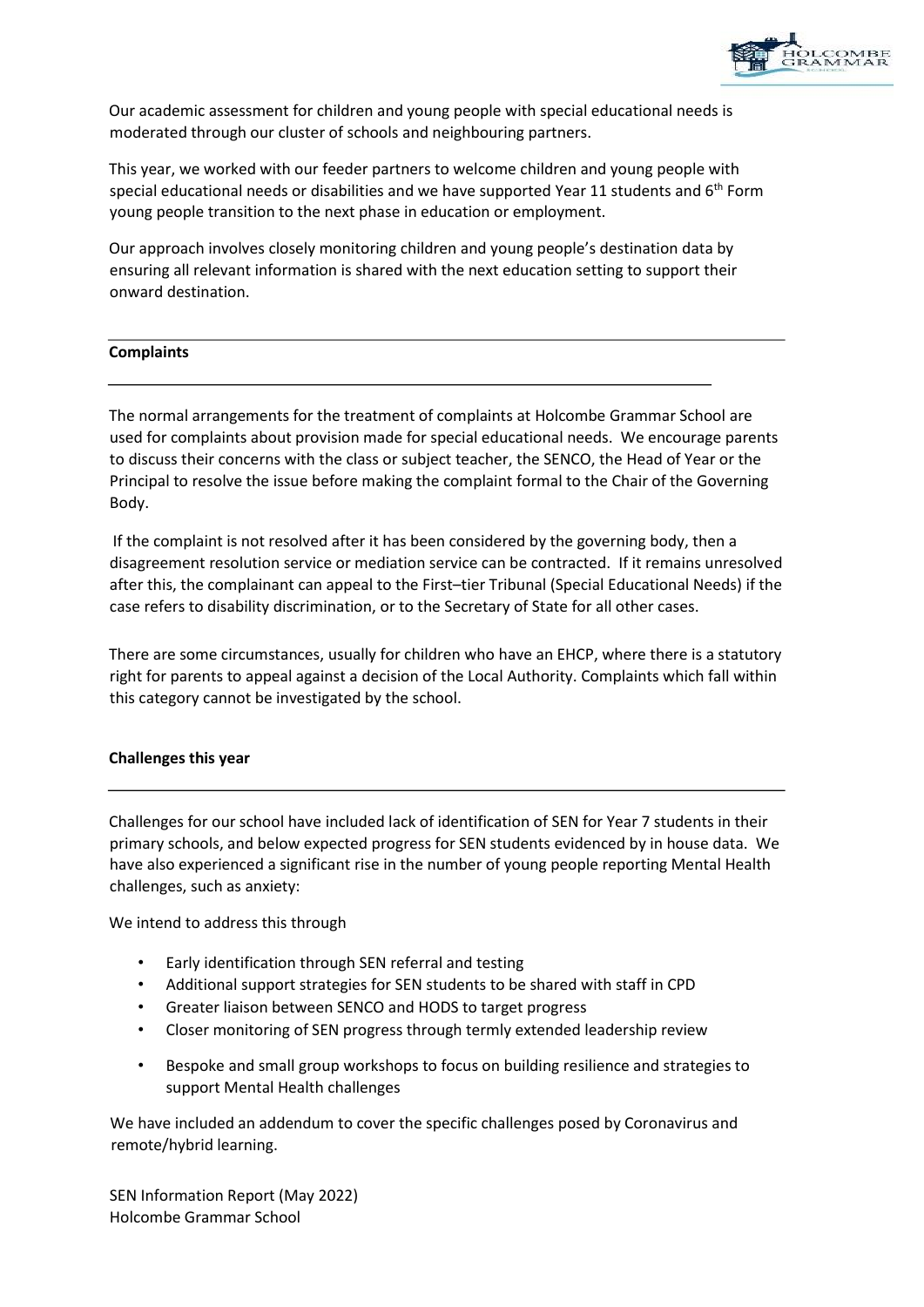

Our academic assessment for children and young people with special educational needs is moderated through our cluster of schools and neighbouring partners.

This year, we worked with our feeder partners to welcome children and young people with special educational needs or disabilities and we have supported Year 11 students and  $6<sup>th</sup>$  Form young people transition to the next phase in education or employment.

Our approach involves closely monitoring children and young people's destination data by ensuring all relevant information is shared with the next education setting to support their onward destination.

### **Complaints**

The normal arrangements for the treatment of complaints at Holcombe Grammar School are used for complaints about provision made for special educational needs. We encourage parents to discuss their concerns with the class or subject teacher, the SENCO, the Head of Year or the Principal to resolve the issue before making the complaint formal to the Chair of the Governing Body.

If the complaint is not resolved after it has been considered by the governing body, then a disagreement resolution service or mediation service can be contracted. If it remains unresolved after this, the complainant can appeal to the First–tier Tribunal (Special Educational Needs) if the case refers to disability discrimination, or to the Secretary of State for all other cases.

There are some circumstances, usually for children who have an EHCP, where there is a statutory right for parents to appeal against a decision of the Local Authority. Complaints which fall within this category cannot be investigated by the school.

### **Challenges this year**

Challenges for our school have included lack of identification of SEN for Year 7 students in their primary schools, and below expected progress for SEN students evidenced by in house data. We have also experienced a significant rise in the number of young people reporting Mental Health challenges, such as anxiety:

We intend to address this through

- Early identification through SEN referral and testing
- Additional support strategies for SEN students to be shared with staff in CPD
- Greater liaison between SENCO and HODS to target progress
- Closer monitoring of SEN progress through termly extended leadership review
- Bespoke and small group workshops to focus on building resilience and strategies to support Mental Health challenges

We have included an addendum to cover the specific challenges posed by Coronavirus and remote/hybrid learning.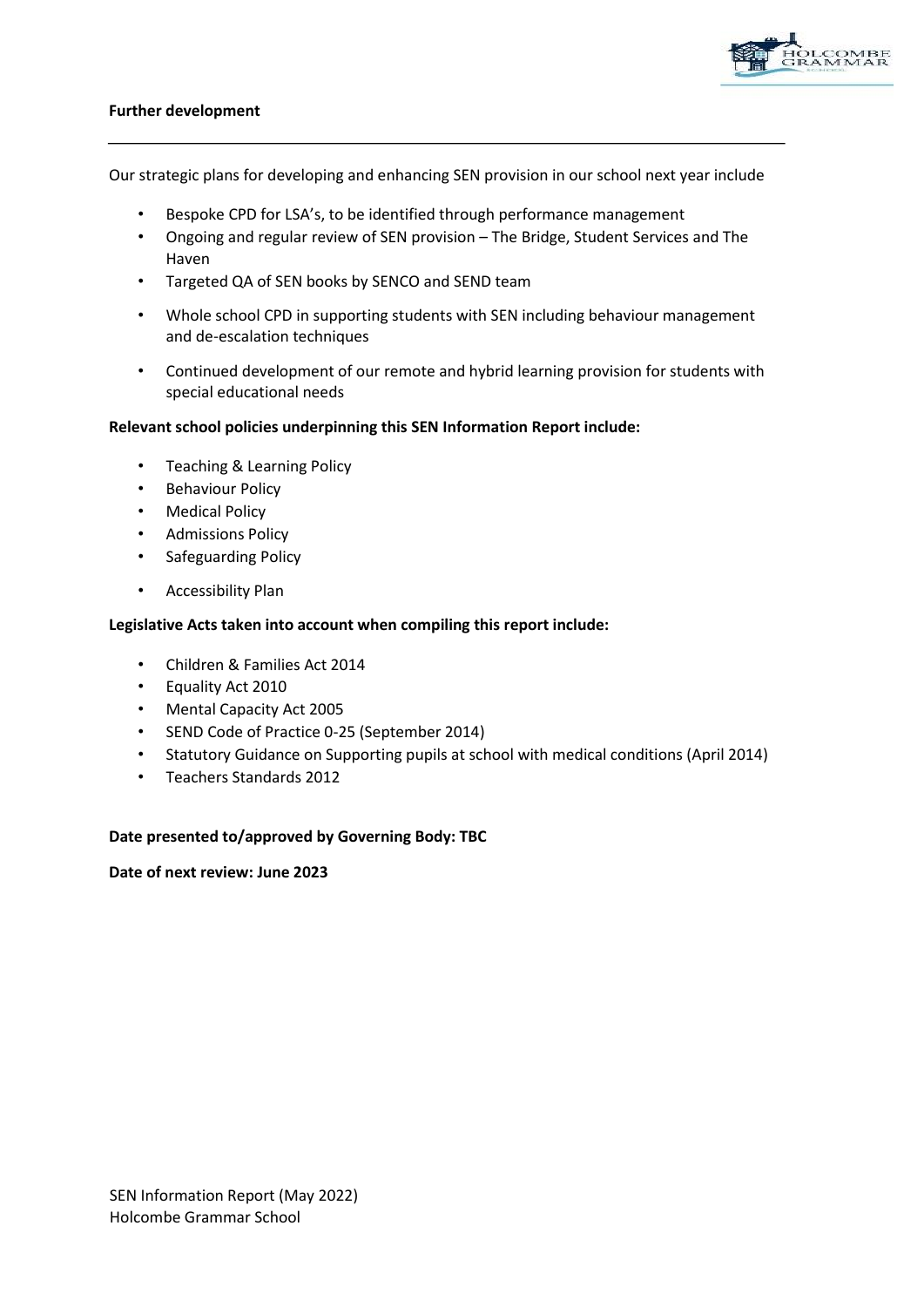

### **Further development**

Our strategic plans for developing and enhancing SEN provision in our school next year include

- Bespoke CPD for LSA's, to be identified through performance management
- Ongoing and regular review of SEN provision The Bridge, Student Services and The Haven
- Targeted QA of SEN books by SENCO and SEND team
- Whole school CPD in supporting students with SEN including behaviour management and de-escalation techniques
- Continued development of our remote and hybrid learning provision for students with special educational needs

#### **Relevant school policies underpinning this SEN Information Report include:**

- Teaching & Learning Policy
- Behaviour Policy
- Medical Policy
- Admissions Policy
- Safeguarding Policy
- Accessibility Plan

#### **Legislative Acts taken into account when compiling this report include:**

- Children & Families Act 2014
- Equality Act 2010
- Mental Capacity Act 2005
- SEND Code of Practice 0-25 (September 2014)
- Statutory Guidance on Supporting pupils at school with medical conditions (April 2014)
- Teachers Standards 2012

#### **Date presented to/approved by Governing Body: TBC**

**Date of next review: June 2023**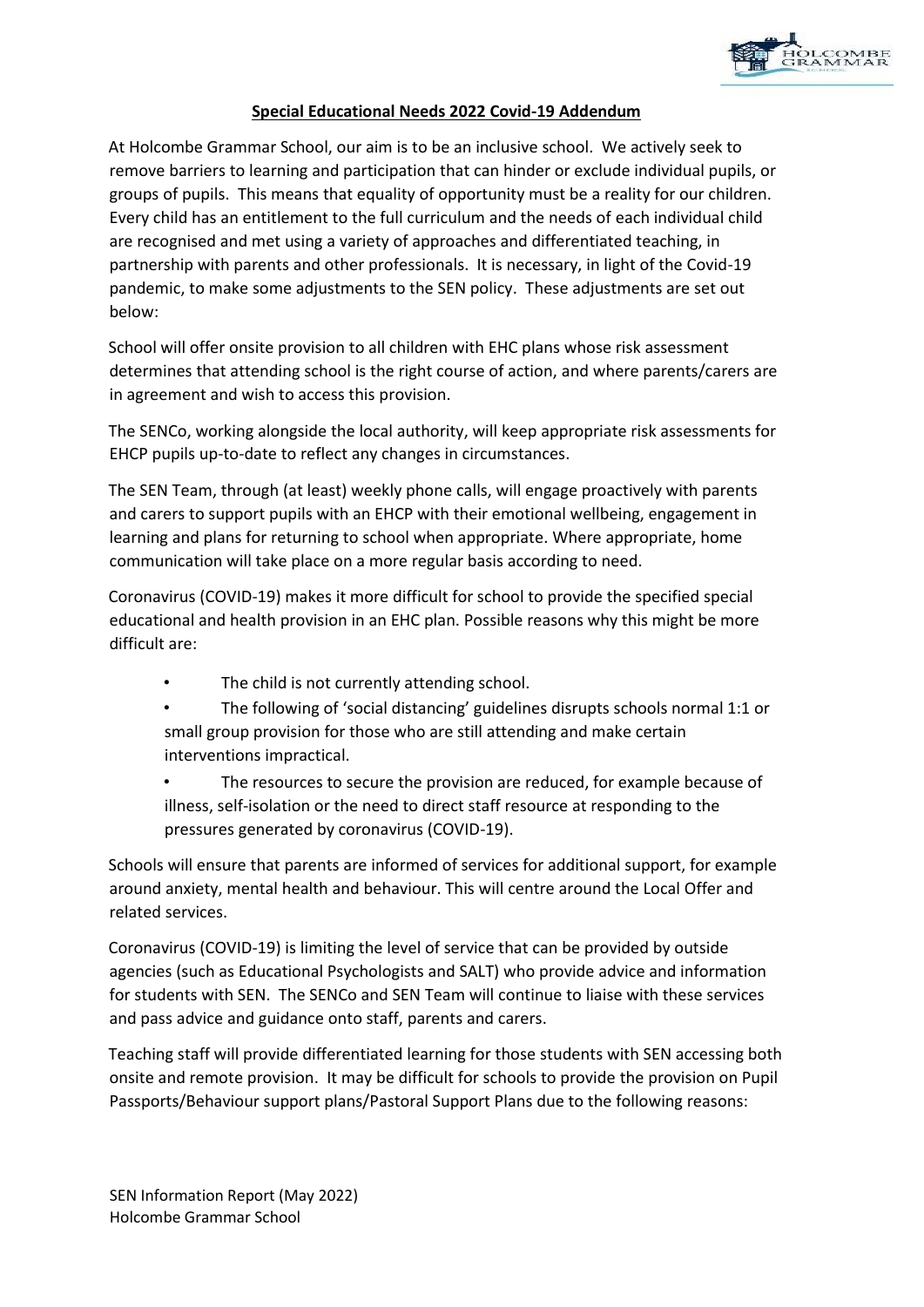

### **Special Educational Needs 2022 Covid-19 Addendum**

At Holcombe Grammar School, our aim is to be an inclusive school. We actively seek to remove barriers to learning and participation that can hinder or exclude individual pupils, or groups of pupils. This means that equality of opportunity must be a reality for our children. Every child has an entitlement to the full curriculum and the needs of each individual child are recognised and met using a variety of approaches and differentiated teaching, in partnership with parents and other professionals. It is necessary, in light of the Covid-19 pandemic, to make some adjustments to the SEN policy. These adjustments are set out below:

School will offer onsite provision to all children with EHC plans whose risk assessment determines that attending school is the right course of action, and where parents/carers are in agreement and wish to access this provision.

The SENCo, working alongside the local authority, will keep appropriate risk assessments for EHCP pupils up-to-date to reflect any changes in circumstances.

The SEN Team, through (at least) weekly phone calls, will engage proactively with parents and carers to support pupils with an EHCP with their emotional wellbeing, engagement in learning and plans for returning to school when appropriate. Where appropriate, home communication will take place on a more regular basis according to need.

Coronavirus (COVID-19) makes it more difficult for school to provide the specified special educational and health provision in an EHC plan. Possible reasons why this might be more difficult are:

- The child is not currently attending school.
- The following of 'social distancing' guidelines disrupts schools normal 1:1 or small group provision for those who are still attending and make certain interventions impractical.
- The resources to secure the provision are reduced, for example because of illness, self-isolation or the need to direct staff resource at responding to the pressures generated by coronavirus (COVID-19).

Schools will ensure that parents are informed of services for additional support, for example around anxiety, mental health and behaviour. This will centre around the Local Offer and related services.

Coronavirus (COVID-19) is limiting the level of service that can be provided by outside agencies (such as Educational Psychologists and SALT) who provide advice and information for students with SEN. The SENCo and SEN Team will continue to liaise with these services and pass advice and guidance onto staff, parents and carers.

Teaching staff will provide differentiated learning for those students with SEN accessing both onsite and remote provision. It may be difficult for schools to provide the provision on Pupil Passports/Behaviour support plans/Pastoral Support Plans due to the following reasons: